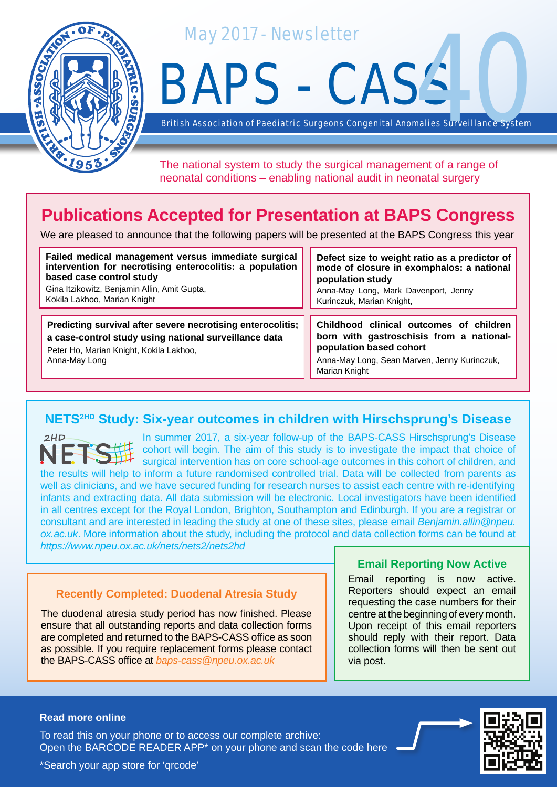

May 2017 - Newsletter

BAPS - CASS alies Surveillance System

British Association of Paediatric Surgeons Congenital Anom

The national system to study the surgical management of a range of neonatal conditions – enabling national audit in neonatal surgery

# **Publications Accepted for Presentation at BAPS Congress**

We are pleased to announce that the following papers will be presented at the BAPS Congress this year

| Failed medical management versus immediate surgical                                                                                                                              | Defect size to weight ratio as a predictor of                                                                                                                                   |
|----------------------------------------------------------------------------------------------------------------------------------------------------------------------------------|---------------------------------------------------------------------------------------------------------------------------------------------------------------------------------|
| intervention for necrotising enterocolitis: a population                                                                                                                         | mode of closure in exomphalos: a national                                                                                                                                       |
| based case control study                                                                                                                                                         | population study                                                                                                                                                                |
| Gina Itzikowitz, Benjamin Allin, Amit Gupta,                                                                                                                                     | Anna-May Long, Mark Davenport, Jenny                                                                                                                                            |
| Kokila Lakhoo, Marian Knight                                                                                                                                                     | Kurinczuk, Marian Knight,                                                                                                                                                       |
| Predicting survival after severe necrotising enterocolitis;<br>a case-control study using national surveillance data<br>Peter Ho, Marian Knight, Kokila Lakhoo,<br>Anna-May Long | Childhood clinical outcomes of children<br>born with gastroschisis from a national-<br>population based cohort<br>Anna-May Long, Sean Marven, Jenny Kurinczuk,<br>Marian Knight |

## **NETS2HD Study: Six-year outcomes in children with Hirschsprung's Disease**

In summer 2017, a six-year follow-up of the BAPS-CASS Hirschsprung's Disease  $2HD$ cohort will begin. The aim of this study is to investigate the impact that choice of surgical intervention has on core school-age outcomes in this cohort of children, and the results will help to inform a future randomised controlled trial. Data will be collected from parents as well as clinicians, and we have secured funding for research nurses to assist each centre with re-identifying infants and extracting data. All data submission will be electronic. Local investigators have been identified in all centres except for the Royal London, Brighton, Southampton and Edinburgh. If you are a registrar or consultant and are interested in leading the study at one of these sites, please email *Benjamin.allin@npeu. ox.ac.uk*. More information about the study, including the protocol and data collection forms can be found at *https://www.npeu.ox.ac.uk/nets/nets2/nets2hd*

### **Recently Completed: Duodenal Atresia Study**

The duodenal atresia study period has now finished. Please ensure that all outstanding reports and data collection forms are completed and returned to the BAPS-CASS office as soon as possible. If you require replacement forms please contact the BAPS-CASS office at *baps-cass@npeu.ox.ac.uk*

### **Email Reporting Now Active**

Email reporting is now active. Reporters should expect an email requesting the case numbers for their centre at the beginning of every month. Upon receipt of this email reporters should reply with their report. Data collection forms will then be sent out via post.

#### **Read more online**

Open the BARCODE READER APP\* on your phone and scan the code here To read this on your phone or to access our complete archive: